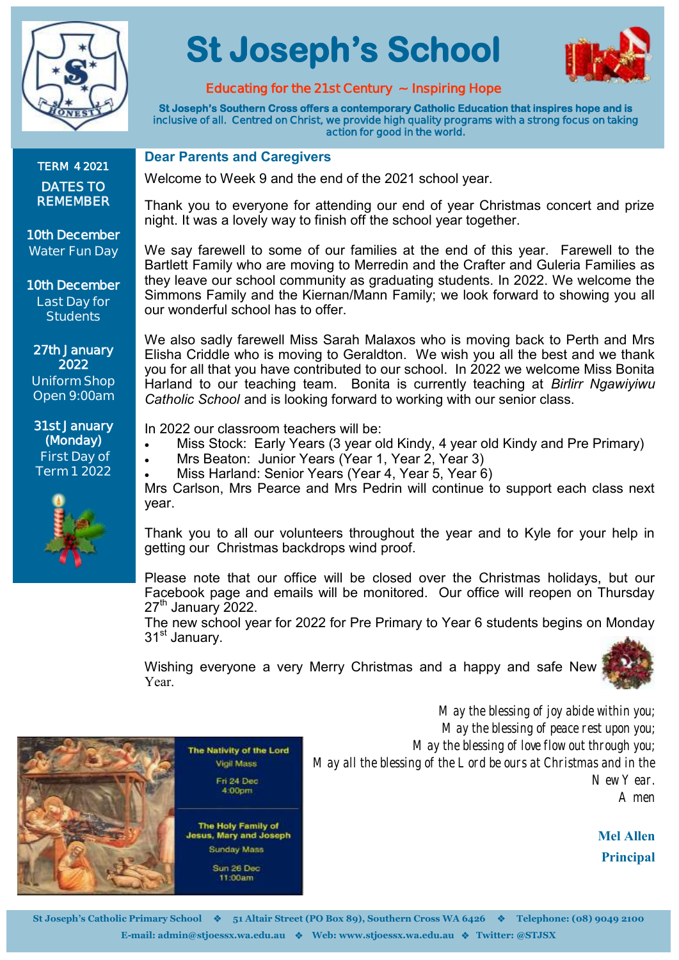

# **St Joseph's School**



## **Educating for the 21st Century ~ Inspiring Hope**

**St Joseph's Southern Cross offers a contemporary Catholic Education that inspires hope and is inclusive of all. Centred on Christ, we provide high quality programs with a strong focus on taking action for good in the world.** 

**TERM 4 2021 DATES TO REMEMBER** 

**10th December Water Fun Day**

**10th December Last Day for Students**

**27th January 2022 Uniform Shop Open 9:00am**

**31st January (Monday) First Day of Term 1 2022**



#### **Dear Parents and Caregivers**

Welcome to Week 9 and the end of the 2021 school year.

Thank you to everyone for attending our end of year Christmas concert and prize night. It was a lovely way to finish off the school year together.

We say farewell to some of our families at the end of this year. Farewell to the Bartlett Family who are moving to Merredin and the Crafter and Guleria Families as they leave our school community as graduating students. In 2022. We welcome the Simmons Family and the Kiernan/Mann Family; we look forward to showing you all our wonderful school has to offer.

We also sadly farewell Miss Sarah Malaxos who is moving back to Perth and Mrs Elisha Criddle who is moving to Geraldton. We wish you all the best and we thank you for all that you have contributed to our school. In 2022 we welcome Miss Bonita Harland to our teaching team. Bonita is currently teaching at *Birlirr Ngawiyiwu Catholic School* and is looking forward to working with our senior class.

In 2022 our classroom teachers will be:

- Miss Stock: Early Years (3 year old Kindy, 4 year old Kindy and Pre Primary)
	- Mrs Beaton: Junior Years (Year 1, Year 2, Year 3)
	- Miss Harland: Senior Years (Year 4, Year 5, Year 6)

Mrs Carlson, Mrs Pearce and Mrs Pedrin will continue to support each class next year.

Thank you to all our volunteers throughout the year and to Kyle for your help in getting our Christmas backdrops wind proof.

Please note that our office will be closed over the Christmas holidays, but our Facebook page and emails will be monitored. Our office will reopen on Thursday  $27<sup>th</sup>$  January 2022.

The new school year for 2022 for Pre Primary to Year 6 students begins on Monday 31<sup>st</sup> January.

Wishing everyone a very Merry Christmas and a happy and safe New Year.





*May the blessing of joy abide within you; May the blessing of peace rest upon you; May the blessing of love flow out through you; May all the blessing of the Lord be ours at Christmas and in the New Year. Amen*

> **Mel Allen Principal**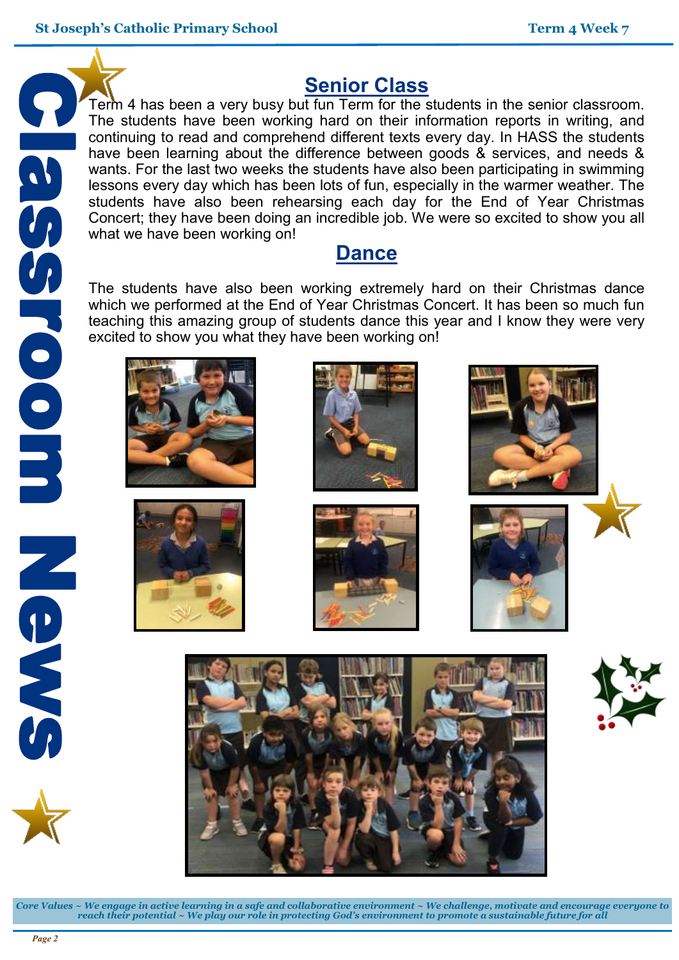

## **Senior Class**

Term 4 has been a very busy but fun Term for the students in the senior classroom. The students have been working hard on their information reports in writing, and continuing to read and comprehend different texts every day. In HASS the students have been learning about the difference between goods & services, and needs & wants. For the last two weeks the students have also been participating in swimming lessons every day which has been lots of fun, especially in the warmer weather. The students have also been rehearsing each day for the End of Year Christmas Concert; they have been doing an incredible job. We were so excited to show you all what we have been working on!

## **Dance**

The students have also been working extremely hard on their Christmas dance which we performed at the End of Year Christmas Concert. It has been so much fun teaching this amazing group of students dance this year and I know they were very excited to show you what they have been working on!













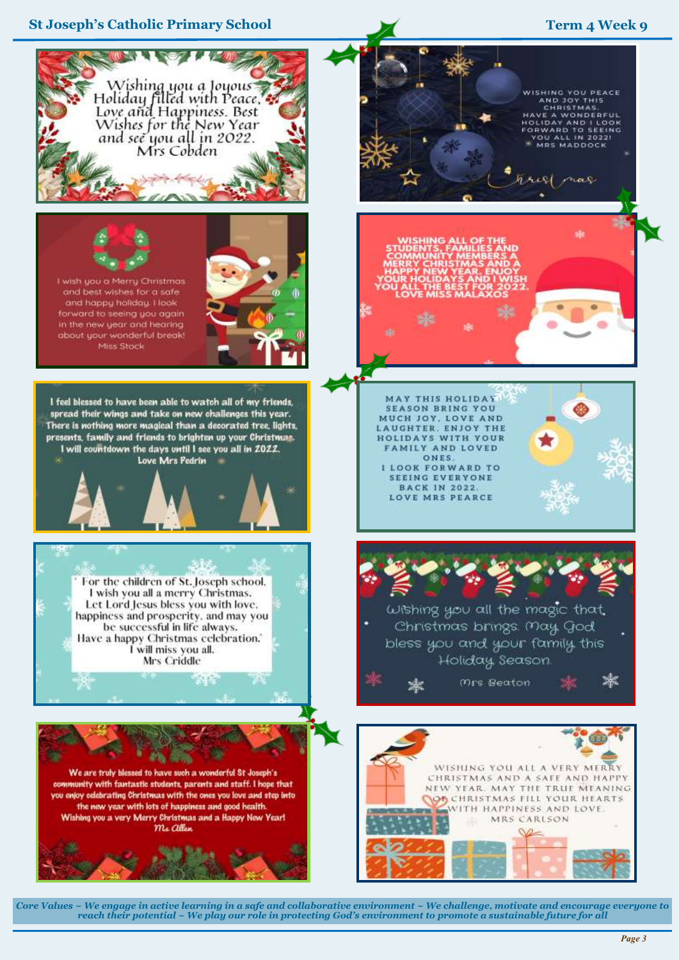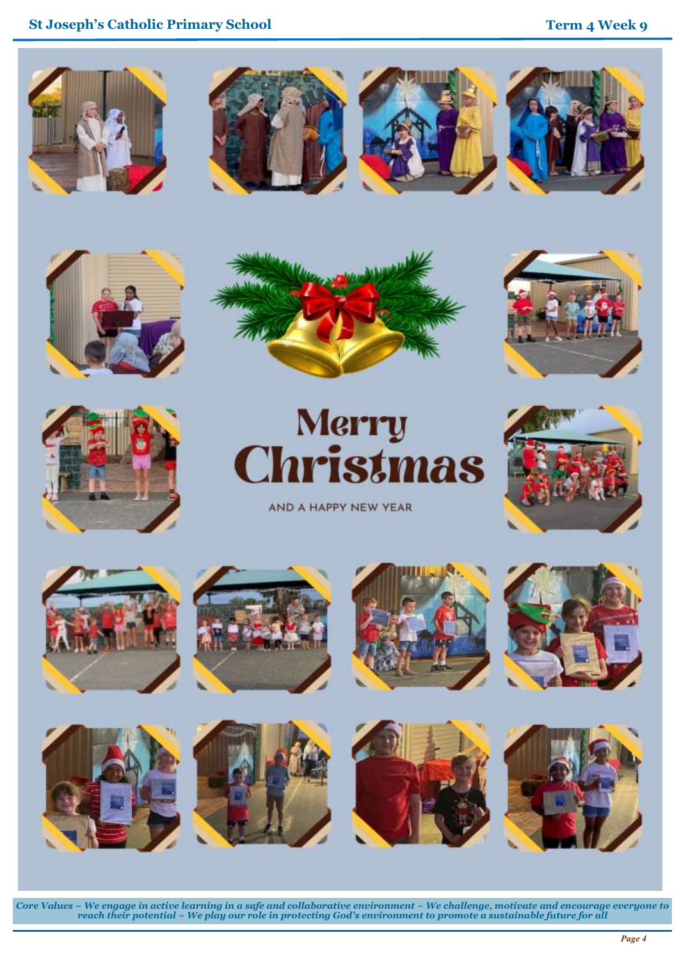













AND A HAPPY NEW YEAR

















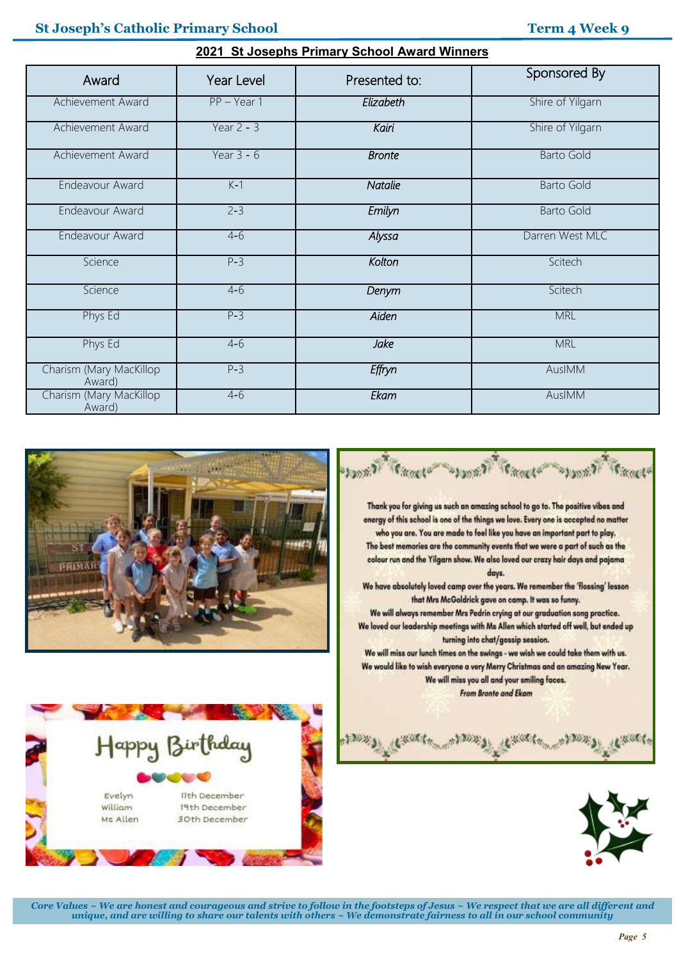### **St Joseph's Catholic Primary School Term 4 Week 9**

| $\sim$ . Or obsept is Finding School Award Winners |               |                |                   |  |  |  |  |  |
|----------------------------------------------------|---------------|----------------|-------------------|--|--|--|--|--|
| Award                                              | Year Level    | Presented to:  | Sponsored By      |  |  |  |  |  |
| Achievement Award                                  | $PP - Year 1$ | Elizabeth      | Shire of Yilgarn  |  |  |  |  |  |
| Achievement Award                                  | Year $2 - 3$  | Kairi          | Shire of Yilgarn  |  |  |  |  |  |
| Achievement Award                                  | Year $3 - 6$  | <b>Bronte</b>  | <b>Barto Gold</b> |  |  |  |  |  |
| Endeavour Award                                    | $K-1$         | <b>Natalie</b> | <b>Barto Gold</b> |  |  |  |  |  |
| Endeavour Award                                    | $2 - 3$       | Emilyn         | <b>Barto Gold</b> |  |  |  |  |  |
| Endeavour Award                                    | $4-6$         | Alyssa         | Darren West MLC   |  |  |  |  |  |
| Science                                            | $P-3$         | Kolton         | Scitech           |  |  |  |  |  |
| Science                                            | $4 - 6$       | Denym          | Scitech           |  |  |  |  |  |
| Phys Ed                                            | $P-3$         | Aiden          | <b>MRL</b>        |  |  |  |  |  |
| Phys Ed                                            | $4-6$         | <b>Jake</b>    | <b>MRL</b>        |  |  |  |  |  |
| Charism (Mary MacKillop<br>Award)                  | $P-3$         | Effryn         | AuslMM            |  |  |  |  |  |
| Charism (Mary MacKillop<br>Award)                  | $4 - 6$       | Ekam           | AuslMM            |  |  |  |  |  |

**2021 St Josephs Primary School Award Winners**









*Core Values ~ We are honest and courageous and strive to follow in the footsteps of Jesus ~ We respect that we are all different and unique, and are willing to share our talents with others ~ We demonstrate fairness to all in our school community*